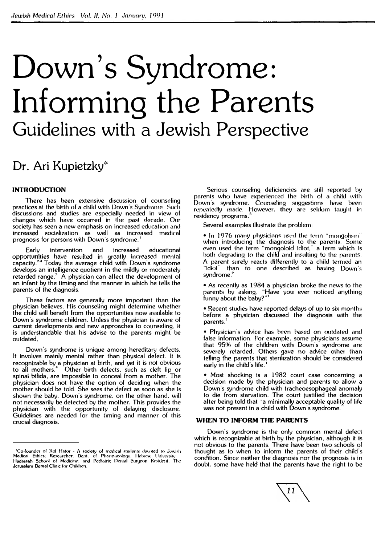# **Down's Syndrome: Informing the Parents Guidelines with a Jewish Perspective**

### **Dr. Ari Kupietzky\***

#### **INTRODUCTION**

There has been extensive discussion of counseling practices at the birth of a child with Down's Syndrome. Such discussions and studies are especially needed in view of changes which have occurred in lhc pasl decade. Our society has seen a new emphasis on increased education and increased socialization as well as increased medical prognosis for persons with Down·s syndrome. **<sup>1</sup>**

Early intervention and increased educational opportunities have resulted in greatly increased mental capacity.**<sup>2</sup> ·' <sup>1</sup>**Today the average child with Down·s syndrome develops an intelligence quotient in the mildly or moderately retarded range.'**<sup>1</sup>**A physician can affect the development of an infant by the timing and the manner in which he tells the parents of the diagnosis.

These factors are generally more important than the physician believes. His counseling might determine whether the child will benefit from the opportunities now available to Down's syndrome children. Unless the physician is aware of current developments and new approaches to counseling. it is understandable that his advise to the parents mighl be outdated.

Down's syndrome is unique among hereditary defects. It involves mainly mental rather than physical defect. It is recognizable by a physician at birth, and yet it is not obvious to all mothers.**<sup>4</sup>**Other birth defects, such as cleft lip or spinal bifida, are impossible to conceal from a mother. The physician does not have the option of deciding when the mother should be told. She sees the defect as soon as she is shown the baby. Down·s syndrome. on the other hand. will not necessarily be detected by the mother. This provides the physician with the opportunity of delaying disclosure. Guidelines are needed for the timing and manner of this crucial diagnosis.

Serious counseling deficiencies are still reported by parents who have experienced the birth of a child with Down's syndrome. Counseling suggestions have beenrepeatedly made. However. they are seldom taught in residency programs.<sup>5</sup>

Several examples illustrate lhe problem:

 $\bullet$  In 1976 many physicians used the term "mongolism" when introducing the diagnosis to the parents. Some even used the term "mongoloid idiot," a term which is both degrading to the child and insulting to the parents. A parent surely reacts differently to a child termed an idiot" than to one described as having Down's syndrome."

• As recently as 1984 a physician broke the news to the parents *by* asking, "Have you ever noticed anything funny about the baby?"<sup>1</sup>

• Recent studies have reported delays of up to six months before a physician discussed the diagnosis with the parents. **<sup>1</sup>**

• Physician's advice has been based on outdated and false information. For example. some physicians assume that 95% of the children with Down's syndrome are severely retarded. Others gave no advice other than telling the parents that sterilization should be considered early in the child's life. **<sup>1</sup>**

• Most shocking is a 1982 court case concerning a decision made by the physician and parents to allow a Down's syndrome child with tracheoesophageal anomaly to die from starvation. The court justified the decision after being told that "a minimally acceptable quality of life was not present in a child with Down's syndrome.

#### **WHEN TO INFORM THE PARENTS**

Down·s syndrome is the only common mental defect which is recognizable at birth by the physician. although it is not obvious to the parents. There have been two schools of thought as to when to inform the parents of their child"s condition. Since neither the diagnosis nor the prognosis is in doubt, some have held that the parents have the right to be



<sup>- &#</sup>x27;Co-founder of Kol Hator - A society of medical students devoted to Jewish<br>Medical: Ethics: Researcher, Dept. of Pharmacology, Hebrew University<br>Hadassah School of Medicine; and Pediatric Dental Surgeon Resident, The Jerusalem Dental Clinic for Chiklrcn.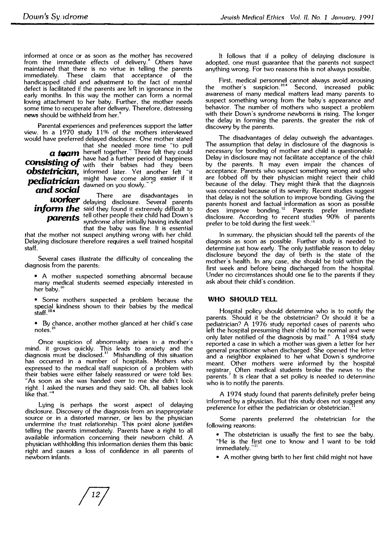informed at once or as soon as the mother has recovered from the immediate effects of delivery.<sup>8</sup> Others have maintained that there is no virtue in telling the parents immediately. These claim that acceptance of the handicapped child and adjustment to the fact of mental defect is facilitated if the parents are left in ignorance in the early months. In this way the mother can form a normal loving attachment to her baby. Further, the mother needs some time to recuperate after delivery. Therefore, distressing **news** should be withheld from her.<sup>9</sup>

Parental experiences and preferences support the latter view. In a  $1970$  study  $11\%$  of the mothers interviewed would have preferred delayed disclosure. One mother stated

that she needed more time "to pull<br>*a team* herself together." Three felt they could<br>have had a further period of happiness **COnsisting of** have had a further period of happiness<br>**COnsisting of** with their babies had they been ng OJ with their babies had they been **obstetrician,** informed later. Yet another felt "it *pediatrician* might have come along easier if it<br>**and social** dawned on you slowly." 1

*worker* delaying disclosure. Several parents *inform the* said they found it extremely difficult to *parents* tell other people their child had Down's syndrome after initially having indicated that the baby was fine. It is essential

that the mother not suspect anything wrong with her child. Delaying disclosure therefore requires a well trained hospital staff.

Several cases illustrate the difficulty of concealing the diagnosis from the parents:

• A mother suspected something abnormal because many medical students seemed especially interested in her baby.<sup>10</sup>

• Some mothers suspected a problem because the special kindness shown to their babies by the medical staff . **10·4** 

• By chance, another mother glanced at her child's case notes.""

Once suspicion of abnormality arises in a mother's mind. it grows quickly. This leads to anxiety and the diagnosis must be disclosed.<sup>11</sup> Mishandling of this situation has occurred in a number of hospitals. Mothers who expressed to the medical staff suspicion of a problem with their babies were either falsely reassured or were told lies: "As soon as she was handed over to me she didn't look right. I asked the nurses and they said: Oh, all babies look like that. " **4** 

Lying is perhaps the worst aspect of delaying disclosure. Discovery of the diagnosis from an inappropriate source or in a distorted manner, or lies by the physician undermine the trust relationship. This point alone justifies telling the parents immediately. Parents have a right to all available information concerning their newborn child. A physician withholding this information denies them this basic right and causes a loss of confidence in all parents of newborn infants.

It follows that if a policy of delaying disclosure is adopted, one must guarantee that the parents not suspect anything wrong. For two reasons this is not always possible.

First. medical personnel cannot always avoid arousing the mother's suspicion.<sup>10.4</sup> Second, increased public awareness of many medical matters lead many parents to suspect something wrong from the baby's appearance and behavior. The number of mothers who suspect a problem with their Down's syndrome newborns is rising. The longer the delay in forming the parents, the greater the risk of discovery by the parents.

The disadvantages of delay outweigh the advantages. The assumption that delay in disclosure of the diagnosis is necessary for bonding of mother and child is questionable. Delay in disclosure may not facilitate acceptance of the child by the parents. It may even impair the chances of acceptance. Parents who suspect something wrong and who are fobbed off by their physician might reject their child because of the delay. They might think that the diagnosis was concealed because of its severity. Recent studies suggest that delay is not the solution to improve bonding. Giving the parents honest and factual information as soon as possible<br>does improve bonding.<sup>12</sup> Parents prefer immediate disclosure. According to recent studies 90% of parents prefer to be told during the first week.<sup>11</sup>

In summary, the physician should tell the parents of the diagnosis as soon as possible. Further study is needed to determine just how early. The only justifiable reason to delay disclosure beyond the day of birth is the state of the mother's health. In any case, she should be told within the first week and before being discharged from the hospital. Under no circumstances should one lie to the parents if they ask about their child's condition.

#### **WHO SHOULD TELL**

Hospital policy should determine who is to notify the parents. Should it be the obstetrician? Or should it be a pediatrician? A 1976 study reported cases of parents who left the hospital presuming their child to be normal and were only later notified of the diagnosis by mail.'' A 1 984 study reported a case in which a mother was given a letter for her general practitioner when discharged. She opened the letter and a neighbor explained to her what Down's syndrome meant. Other mothers were informed by the hospital registrar. Often medical students broke the news to the<br>parents.<sup>7</sup> It is clear that a set policy is needed to determine who is to notify the parents.

A 1974 study found that parents definitely prefer being informed by a physician. But this study does not suggest any  $\epsilon$ preference for either the pediatrician or obstetrician.

Some parents preferred the obstetrician for the following reasons:

- The obstetrician is usually the first to see the baby. "He is the first one to know and I want to be told immediately."
- A mother giving birth to her first child might not have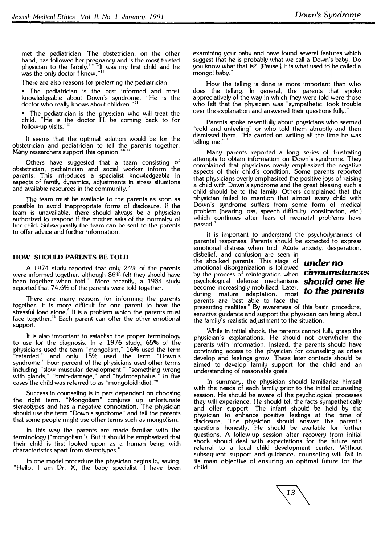met the pediatrician. The obstetrician, on the other hand. has followed her pregnancy and is the most trusted physician to the family.'<sup>.</sup>'" "It was my first child and he<br>was the only doctor I knew."<sup>11</sup>

There are also reasons for preferring the pediatrician:

• The pediatrician is the best informed and most knowledgeable about Down's syndrome. "He is the doctor who really knows about children."**<sup>11</sup>**

• The pediatrician is the physician who will treat the child. "He is the doctor I'll be coming back to for<br>follow-up·visits."<sup>11</sup>

lt seems that the optimal solution would be for the obstetrician and pediatrician to tell the parents together. **Many** researchers support this opinion. ' **6· 11**  :

Others have suggested that a team consisting of obstetrician, pediatrician and social worker inform the parents. This introduces a specialist knowledgeable in aspects of family dynamics, adjustments in stress situations and available resources in the community."

The team must be available to the parents as soon as possible to avoid inappropriate forms of disclosure. If the team is unavailable, there should always be a physician authorized to respond if the mother asks of the normalcy of her child. Subsequently the team can be sent to the parents to offer advice and further information.

#### **HOW SHOULD PARENTS BE TOLD**

A 1974 study reported that only 24% of the parents were informed together. although 86% felt they should have been together when told. 11 More recently, a 1984 study reported that 74.6% of the parents were told together.

There are many reasons for informing the parents together. It is more difficult for one parent to bear the stressful load alone." It is a problem which the parents must face together.<sup>11</sup> Each parent can offer the other emotional support.

It is also important to establish the proper terminology to use for the diagnosis. In a 1976 study, 65% of the physicians used the term "mongolism," 16% used the term "retarded.'' and only 15% used the term "Down's syndrome." Four percent of the physicians used other terms including "slow muscular development," "something wrong with glands," "brain-damage," and "hydrocephalus." In five cases the child was referred to as "mongoloid idiot."

Success in counseling is in part dependant on choosing the right term. "Mongolism" conjures up unfortunate stereotypes and has a negative connotation. The physician should use the term "Down's syndrome" and tell the parents that some people might use other terms such as mongolism.

In this way the parents are made familiar with the terminology ("mongolism"). But it should be emphasized that their child is first looked upon as a human being with characteristics apart from stereotypes.**<sup>6</sup>**

In one model procedure the physician begins by saying: "Hello. I am Dr. X, the baby specialist. I have been examining your baby and have found several features which suggest that he is probably what we call a Down's baby. Do you know what that is? [Pause.] It is what used to be called a mongol baby.

How the telling is done is more important than who does the telling. In general, the parents that spoke appreciatively of the way in which they were told were those who felt that the physician was "sympathetic, took trouble over the explanation and answered their questions fully.<sup>1</sup>

Parents spoke resentfully about physicians who seemed "cold and unfeeling" or who told them abruptly and then dismissed them. "He carried on writing all the time he was telling me.

Many parents reported a long series of frustrating attempts to obtain information on Down's syndrome. They complained that physicians overly emphasized the negative aspects of their child's condition. Some parents reported that physicians overly emphasized the positive joys of raising a child with Down's syndrome and the great blessing such a child should· be to the family. Others complained that the physician failed to mention that almost every child with Down's syndrome suffers from some form of medical problem (hearing loss. speech difficulty. constipation, etc.) which continues after fears of neonatal problems have<br>passed. **1** 

It is important to understand the psychodynamics of parental responses. Parents should be expected to express emotional distress when told. Acute anxiety. desperation, disbelief, and confusion are seen in

the shocked parents. This stage of emotional disorganization is followed emononal disorganization is followed<br>by the process of reintegration when **Cirmumstances** psychological defense mechanisms *should* **one** *lie*  become increasingly mobilized. Later, during mature adaptation. most parents are best able to face the

## *under* **no to** *the parents*

presenting realities." By awareness of this basic procedure. sensitive guidance and support the physician can bring about the family's realistic adjustment to the situation.

While in initial shock, the parents cannot fully grasp the physician ·s explanations. He should not overwhelm the parents with information. Instead. the parents should have continuing access to the physician for counseling as crises develop and feelings grow. These later contacts should he aimed to develop family support for the child and an understanding of reasonable goals.

In summary. the physician should familiarize himself with the needs of each family prior to the initial counseling session. He should be aware of the psychological processes they will experience. He should tell the facts sympathetically and offer support. The infant should be held by the physician to enhance positive feelings at the time of disclosure. The physician should answer the parent's questions honestly. He should be available for further questions. A follow-up session after recovery from initial shock should deal with expectations for the future and referral to a local child development center. Without subsequent support and guidance, counseling will fail in its main objective of ensuring an optimal future for the child.

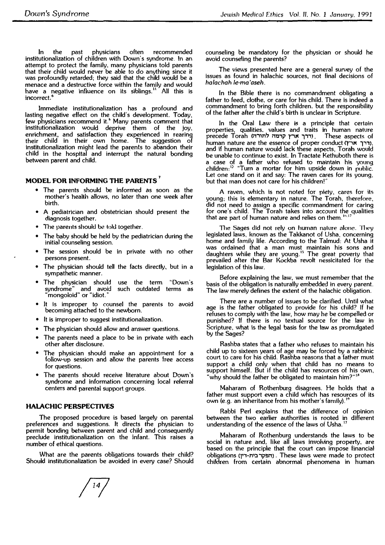In the past physicians often recommended institutionalization of children with Down's syndrome. In an attempt to protect the family, many physicians told parents that their child would never be able to do anything since it was profoundly retarded; they said that the child would be a menace and a destructive force within the family and would have a negative influence on its siblings. **<sup>11</sup>**All this is incorrect. **6** 

Jmmediate institutionalization has a profound and lasting negative effect on the child's development. Today, few physicians recommend it.<sup>6</sup> Many parents comment that institutionalization would deprive them of the joy, enrichment, and satisfaction they experienced in rearing their child in their own home. The suggestion of institutionalization might lead the parents to abandon their child in the hospital and interrupt the natural bonding between parent and child.

#### **MODEL FOR INFORMING THE PARENTS <sup>7</sup>**

- The parents should be informed as soon as the mother's health allows, no later than one week after birth.
- • A pediatrician and obstetrician should present the diagnosis together.
- •The parents should be told together.
- • The baby should be held by the pediatrician during the initial counseling session.
- The session should be in private with no other persons present.
- • The physician should tell the facts directly, but in a sympathetic manner.
- The physician should use the term "Down's syndrome" and avoid such outdated terms as "mongoloid" or "idiot.''
- It is improper to counsel the parents to avoid becoming attached to the newborn.
- •It is improper to suggest institutionalization.
- •The physician should allow and answer questions.
- • The parents need a place to be in private with each other after disclosure.
- • The physician should make an appointment for a follow-up session and allow the parents free access for questions.
- • The parents should receive literature about Down's syndrome and information concerning local referral centers and parental support groups.

#### **HAlACHIC PERSPECTIVES**

The proposed procedure is based largely on parental preferences and suggestions. It directs the physician to permit bonding between parent and child and consequently preclude institutionalization on the infant. This raises a number of ethical questions.

What are the parents obligations towards their child? Should institutionalization be avoided in every case? Should counseling be mandatory for the physician or should he avoid counseling the parents?

The *views* presented here are a general survey of the issues as found in halachic sources, not final decisions of *halachah le-ma'aseh.* 

In the Bible there is no commandment obligating a father to feed, clothe. or care for his child. There is indeed a commandment to bring forth children. but the responsibility of the father after the child's birth is unclear in Scripture.

In the Oral Law there is a principle that certain properties, qualities. values and traits in human nature precede Torah (תרך ארץ קדמה לתורה). These aspects of human nature are the essence of proper conduct (דרך ארץ), and if human nature would lack these aspects, Torah would be unable to continue to exist. In Tractate Kethuboth there is a case of a father who refused to maintain his young<br>children:"" "Turn a mortar for him upside down in public. Let one stand on it and say: The raven cares for its young. but that man does not care for his children!"

A raven, which is not noted for pi�ty. **cares** for **its** young; this is elementary in nature. The Torah, therefore, did not need to assign a specific commandment for caring for one's child. The Torah takes into account the qualities that are part of human nature and relies on them.  $16.17$ 

The Sages did not rely on human nature alone. They legislated laws, known as the Takkanot of Usha, concerning home and family life. According to the Talmud: At Usha it was ordained that a man must maintain his sons and daughters while they are young. **<sup>15</sup>**The great poverty that prevailed after the Bar Kockba revolt nessicitated for the legislation of this law.

Before explaining the law, we must remember that the basis of the obligation is naturally embedded in every parent. The law merely defines the extent of the halachic obligation.

There are a number of issues to be clarified. Until what age is the father obligated to provide for his child? If he refuses to comply with the law, how may he be compelled or punished? If there is no textual source for the law in Scripture, what is the legal basis for the law as promulgated by the Sages?

Rashba states that a father who refuses to maintain his child up to sixteen years of age may be forced by a rabbinic court to care for his child. Rashba reasons that a father must support a child only when that child has no means to support himself. But if the child has resources of his own, "why should the father be obligated to maintain him?"<sup>18</sup>

Maharam of Rothenburg disagrees. He holds that a father must support even a child which has resources of its own (e.g. an inheritance from his mother's family).<sup>1</sup>

Rabbi Perl explains that the difference of opinion between the two earlier authorities is rooted in different understanding of the essence of the laws of Usha. **<sup>17</sup>**

Maharam of Rothenburg understands the laws to be social in nature and, like all laws involving property, are based on the principle that the court can impose financial obligations q,,-n,::i ip!ln) . These laws were made to protect children from certain abnormal phenomena in human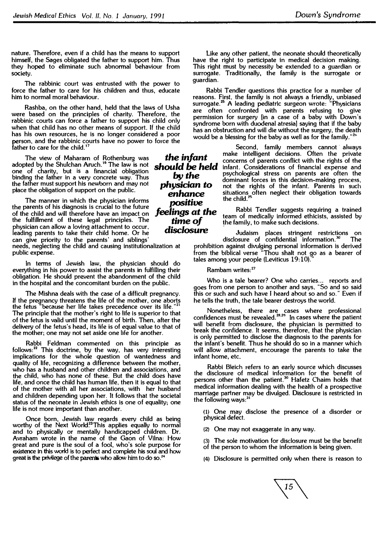**nature. Therefore, even if a child has the means to support himself, the Sages obligated the father to support him. Thus they hoped to eliminate such abnormal behaviour from society.** 

**The rabbinic court was entrusted with the power to force the father to care for his children and thus, educate him to normal moral behaviour.** 

**Rashba, on the other hand, held that the laws of Usha were based on the principles of charity. Therefore, the rabbinic courts can force a father to support his child only when that child has no other means of support.** If **the child has his own resources, he is no longer considered a poor person, and the rabbinic courts have no power to force the father to care for the child. <sup>1</sup><sup>7</sup>**

**The view of Maharam of Rothenburg was adopted by the Shulchan Aruch. <sup>16</sup>The law is not one** of **charity, but is a financial obligation binding the father in a very concrete way. Thus the father must support his newborn and may not place the obligation of support on the public.** 

**The manner in which the physician informs the parents of his diagnosis is crucial to the future of the child and will therefore have an impact on the fulfillment of these legal principles. The physician can allow a loving attachment to occur, leading parents to take their child home. Or he can give priority to the parents' and siblings' needs, neglecting the child and causing institutionalization at** 

**public expense.** 

**In terms of Jewish law, the physician should do everything in his power to assist the parents in fulfilling their obligation. He should prevent the abandonment of the child in the hospital and the concomitant burden on the public.** 

**The Mishna deals with the case of a difficult pregnancy. If the pregnancy threatens the life of the mother, one aborts the fetus "because her life takes precedence over its life. "<sup>21</sup> The principle that the mother's right to life is superior to that of the fetus is valid until the moment of birth. Then, after the delivery of the fetus's head, its life is of equal value to that of the mother; one may not set aside one life for another.** 

**Rabbi Feldman commented on this principle as follows: <sup>22</sup>This doctrine, by the way, has very interesting implications for the whole question of wantedness and quality of life, recognizing a difference between the mother, who has a husband and other children and associations, and the child, who has none of these. But the child does have life, and once the child has human life, then it is equal to that of the mother with all her associations, with her husband and children depending upon her. It follows that the societal status of the neonate in Jewish ethics is one of equality; one life is not more important than another.** 

**Once born, Jewish law regards every child as being**  worthy of the Next World.<sup>23</sup>This applies equally to normal **and to physically or mentally handicapped children. Dr. Avraham wrote in the name of the Gaon of Vilna: How great and pure is the soul of a fool, who's sole purpose for existence in this world is to perfect and complete his soul and how great is the** privilege **of the parents who allow** him **to do so.**<sup>24</sup>

*the infant should be held by the physician* to *enhance ,x,sitive feelings at the time* **of**  *disclosure* 

**Like any other patient, the neonate should theoretically have the right to participate in medical decision making. This right must by necessity be extended to a guardian or surrogate. Traditionally, the family is the surrogate or guardian.** 

Rabbi Tendler questions this practice for a number of **reasons. First, the family is not always a friendly, unbiased surrogate. 25 A leading pediatric surgeon wrote: "Physicians are often confronted with parents refusing to give permission for surgery (in a case of a baby with Down's syndrome born with duodenal atresia) saying that if the baby has an obstruction and will die without the surgery, the death 2 would be a blessing for the baby as well as for the family. "**

> Second, family members cannot always **make intelligent decisions. Often the private concerns of parents conflict with the rights of the**  infant. Considerations of financial expense and **psychological stress on parents are often the dominant forces in this decision-making process, not the rights of the infant. Parents in such situations often neglect their obligation towards the child. <sup>25</sup>**

Rabbi Tendler suggests requiring a trained **team of medically informed ethicists, assisted by !he family, to make such decisions.**

**Judaism places stringent restrictions on disclosure of confidential information.** <sup>30</sup>**The prohibition against divulging personal information is derived from the biblical verse "Thou shalt not go as a bearer of**  tales among your people (Leviticus 19:10).

**Rambam writes:<sup>27</sup>**

**Who is a tale bearer? One who carries... reports and goes from one person to another and says,** "So **and so said this or such and such have I heard about so and so." Even if he tells the truth, the tale bearer destroys the world.** 

**Nonetheless, there are cases where professional confidences must be revealed. <sup>2</sup>8·<sup>29</sup>In cases where the patient will benefit from disclosure, the physician is permitted to break the confidence.** It **seems, therefore, that the physician is only permitted to disclose the diagnosis to the parents for the infant's benefit. Thus he should do so in a manner which will allow attachment, encourage the parents to take the infant home, etc.** 

**Rabbi Bleich refers to an early source which discusses**  the disclosure of medical information for the benefit of **persons other than the patient.** <sup>30</sup>**Hafetz Chaim holds that medical information dealing with the health of a prospective marriage partner may be divulged. Disclosure is restricted in the following ways:<sup>31</sup>**

**(1) One may disclose the presence of a disorder or physical defect.**

**{2) One may not exaggerate in any way.** 

(3) The **sole motivation for disclosure must be the benefit of the person to whom the information is being given.**

**(4) Disclosure is permitted only when there is reason to**